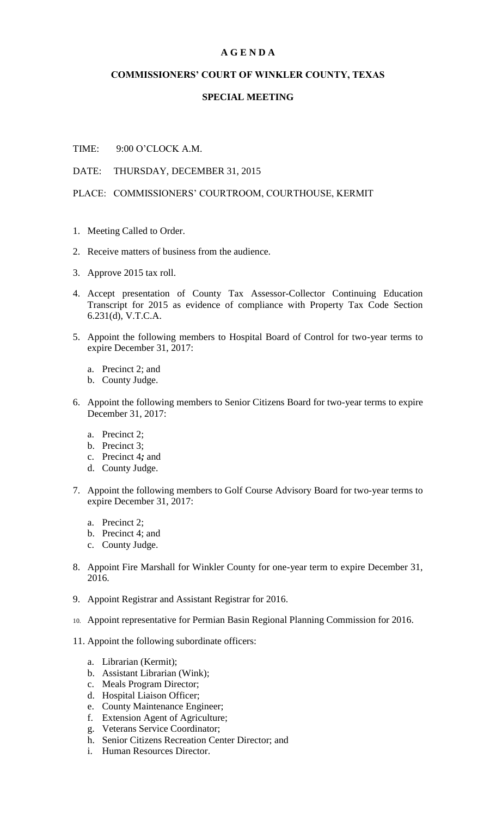## **A G E N D A**

## **COMMISSIONERS' COURT OF WINKLER COUNTY, TEXAS**

## **SPECIAL MEETING**

TIME: 9:00 O'CLOCK A.M.

DATE: THURSDAY, DECEMBER 31, 2015

PLACE: COMMISSIONERS' COURTROOM, COURTHOUSE, KERMIT

- 1. Meeting Called to Order.
- 2. Receive matters of business from the audience.
- 3. Approve 2015 tax roll.
- 4. Accept presentation of County Tax Assessor-Collector Continuing Education Transcript for 2015 as evidence of compliance with Property Tax Code Section 6.231(d), V.T.C.A.
- 5. Appoint the following members to Hospital Board of Control for two-year terms to expire December 31, 2017:
	- a. Precinct 2; and
	- b. County Judge.
- 6. Appoint the following members to Senior Citizens Board for two-year terms to expire December 31, 2017:
	- a. Precinct 2;
	- b. Precinct 3;
	- c. Precinct 4*;* and
	- d. County Judge.
- 7. Appoint the following members to Golf Course Advisory Board for two-year terms to expire December 31, 2017:
	- a. Precinct 2;
	- b. Precinct 4; and
	- c. County Judge.
- 8. Appoint Fire Marshall for Winkler County for one-year term to expire December 31, 2016.
- 9. Appoint Registrar and Assistant Registrar for 2016.
- 10. Appoint representative for Permian Basin Regional Planning Commission for 2016.
- 11. Appoint the following subordinate officers:
	- a. Librarian (Kermit);
	- b. Assistant Librarian (Wink);
	- c. Meals Program Director;
	- d. Hospital Liaison Officer;
	- e. County Maintenance Engineer;
	- f. Extension Agent of Agriculture;
	- g. Veterans Service Coordinator;
	- h. Senior Citizens Recreation Center Director; and
	- i. Human Resources Director.